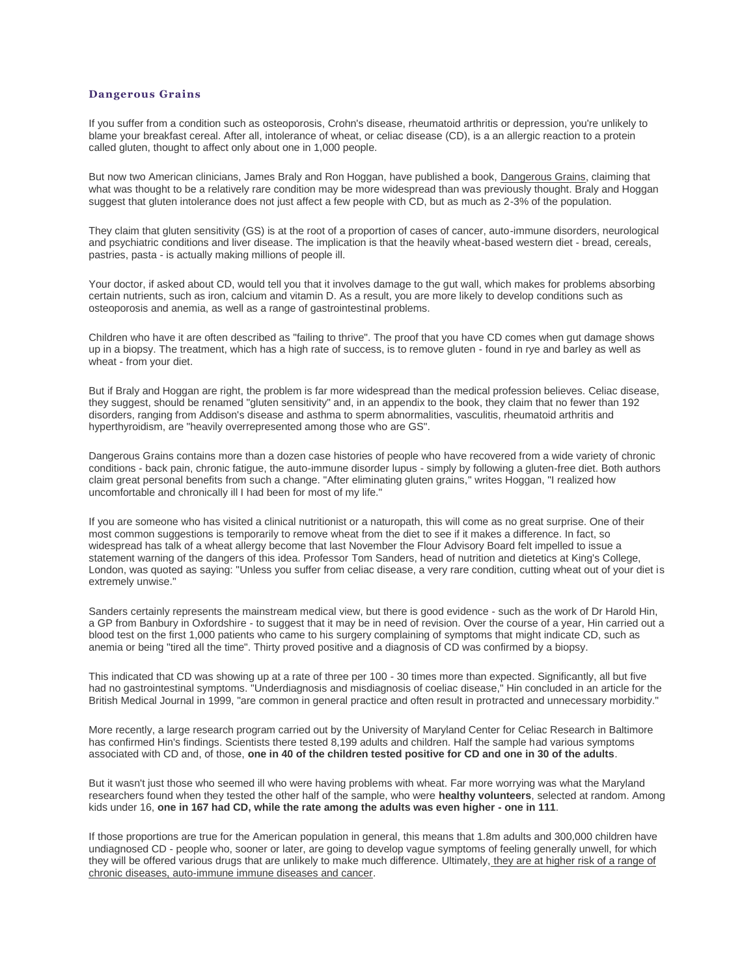# **Dangerous Grains**

If you suffer from a condition such as osteoporosis, Crohn's disease, rheumatoid arthritis or depression, you're unlikely to blame your breakfast cereal. After all, intolerance of wheat, or celiac disease (CD), is a an allergic reaction to a protein called gluten, thought to affect only about one in 1,000 people.

But now two American clinicians, James Braly and Ron Hoggan, have published a book, Dangerous Grains, claiming that what was thought to be a relatively rare condition may be more widespread than was previously thought. Braly and Hoggan suggest that gluten intolerance does not just affect a few people with CD, but as much as 2-3% of the population.

They claim that gluten sensitivity (GS) is at the root of a proportion of cases of cancer, auto-immune disorders, neurological and psychiatric conditions and liver disease. The implication is that the heavily wheat-based western diet - bread, cereals, pastries, pasta - is actually making millions of people ill.

Your doctor, if asked about CD, would tell you that it involves damage to the gut wall, which makes for problems absorbing certain nutrients, such as iron, calcium and vitamin D. As a result, you are more likely to develop conditions such as osteoporosis and anemia, as well as a range of gastrointestinal problems.

Children who have it are often described as "failing to thrive". The proof that you have CD comes when gut damage shows up in a biopsy. The treatment, which has a high rate of success, is to remove gluten - found in rye and barley as well as wheat - from your diet.

But if Braly and Hoggan are right, the problem is far more widespread than the medical profession believes. Celiac disease, they suggest, should be renamed "gluten sensitivity" and, in an appendix to the book, they claim that no fewer than 192 disorders, ranging from Addison's disease and asthma to sperm abnormalities, vasculitis, rheumatoid arthritis and hyperthyroidism, are "heavily overrepresented among those who are GS".

Dangerous Grains contains more than a dozen case histories of people who have recovered from a wide variety of chronic conditions - back pain, chronic fatigue, the auto-immune disorder lupus - simply by following a gluten-free diet. Both authors claim great personal benefits from such a change. "After eliminating gluten grains," writes Hoggan, "I realized how uncomfortable and chronically ill I had been for most of my life."

If you are someone who has visited a clinical nutritionist or a naturopath, this will come as no great surprise. One of their most common suggestions is temporarily to remove wheat from the diet to see if it makes a difference. In fact, so widespread has talk of a wheat allergy become that last November the Flour Advisory Board felt impelled to issue a statement warning of the dangers of this idea. Professor Tom Sanders, head of nutrition and dietetics at King's College, London, was quoted as saying: "Unless you suffer from celiac disease, a very rare condition, cutting wheat out of your diet is extremely unwise."

Sanders certainly represents the mainstream medical view, but there is good evidence - such as the work of Dr Harold Hin, a GP from Banbury in Oxfordshire - to suggest that it may be in need of revision. Over the course of a year, Hin carried out a blood test on the first 1,000 patients who came to his surgery complaining of symptoms that might indicate CD, such as anemia or being "tired all the time". Thirty proved positive and a diagnosis of CD was confirmed by a biopsy.

This indicated that CD was showing up at a rate of three per 100 - 30 times more than expected. Significantly, all but five had no gastrointestinal symptoms. "Underdiagnosis and misdiagnosis of coeliac disease," Hin concluded in an article for the British Medical Journal in 1999, "are common in general practice and often result in protracted and unnecessary morbidity."

More recently, a large research program carried out by the University of Maryland Center for Celiac Research in Baltimore has confirmed Hin's findings. Scientists there tested 8,199 adults and children. Half the sample had various symptoms associated with CD and, of those, **one in 40 of the children tested positive for CD and one in 30 of the adults**.

But it wasn't just those who seemed ill who were having problems with wheat. Far more worrying was what the Maryland researchers found when they tested the other half of the sample, who were **healthy volunteers**, selected at random. Among kids under 16, **one in 167 had CD, while the rate among the adults was even higher - one in 111**.

If those proportions are true for the American population in general, this means that 1.8m adults and 300,000 children have undiagnosed CD - people who, sooner or later, are going to develop vague symptoms of feeling generally unwell, for which they will be offered various drugs that are unlikely to make much difference. Ultimately, they are at higher risk of a range of chronic diseases, auto-immune immune diseases and cancer.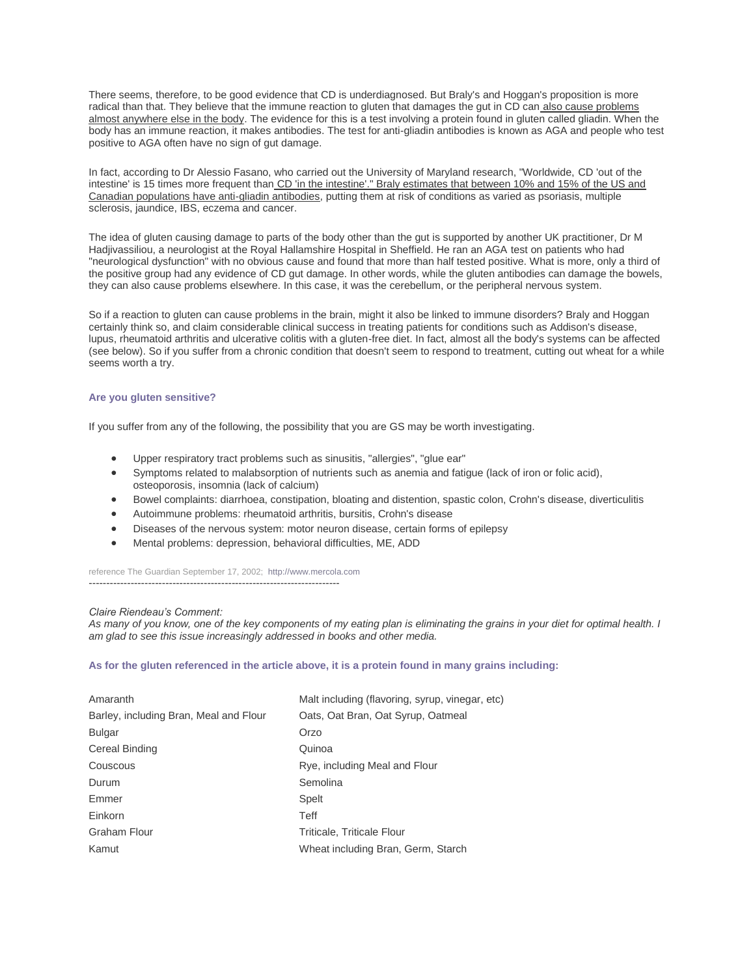There seems, therefore, to be good evidence that CD is underdiagnosed. But Braly's and Hoggan's proposition is more radical than that. They believe that the immune reaction to gluten that damages the gut in CD can also cause problems almost anywhere else in the body. The evidence for this is a test involving a protein found in gluten called gliadin. When the body has an immune reaction, it makes antibodies. The test for anti-gliadin antibodies is known as AGA and people who test positive to AGA often have no sign of gut damage.

In fact, according to Dr Alessio Fasano, who carried out the University of Maryland research, "Worldwide, CD 'out of the intestine' is 15 times more frequent than CD 'in the intestine'." Braly estimates that between 10% and 15% of the US and Canadian populations have anti-gliadin antibodies, putting them at risk of conditions as varied as psoriasis, multiple sclerosis, jaundice, IBS, eczema and cancer.

The idea of gluten causing damage to parts of the body other than the gut is supported by another UK practitioner, Dr M Hadjivassiliou, a neurologist at the Royal Hallamshire Hospital in Sheffield. He ran an AGA test on patients who had "neurological dysfunction" with no obvious cause and found that more than half tested positive. What is more, only a third of the positive group had any evidence of CD gut damage. In other words, while the gluten antibodies can damage the bowels, they can also cause problems elsewhere. In this case, it was the cerebellum, or the peripheral nervous system.

So if a reaction to gluten can cause problems in the brain, might it also be linked to immune disorders? Braly and Hoggan certainly think so, and claim considerable clinical success in treating patients for conditions such as Addison's disease, lupus, rheumatoid arthritis and ulcerative colitis with a gluten-free diet. In fact, almost all the body's systems can be affected (see below). So if you suffer from a chronic condition that doesn't seem to respond to treatment, cutting out wheat for a while seems worth a try.

## **Are you gluten sensitive?**

If you suffer from any of the following, the possibility that you are GS may be worth investigating.

- Upper respiratory tract problems such as sinusitis, "allergies", "glue ear"
- Symptoms related to malabsorption of nutrients such as anemia and fatigue (lack of iron or folic acid), osteoporosis, insomnia (lack of calcium)
- Bowel complaints: diarrhoea, constipation, bloating and distention, spastic colon, Crohn's disease, diverticulitis
- Autoimmune problems: rheumatoid arthritis, bursitis, Crohn's disease
- Diseases of the nervous system: motor neuron disease, certain forms of epilepsy
- Mental problems: depression, behavioral difficulties, ME, ADD

reference The Guardian September 17, 2002; [http://www.mercola.com](https://web.archive.org/web/20160521014144/http:/www.mercola.com/) ------------------------------------------------------------------------

#### *Claire Riendeau's Comment:*

*As many of you know, one of the key components of my eating plan is eliminating the grains in your diet for optimal health. I am glad to see this issue increasingly addressed in books and other media.*

## **As for the gluten referenced in the article above, it is a protein found in many grains including:**

| Amaranth                               | Malt including (flavoring, syrup, vinegar, etc) |
|----------------------------------------|-------------------------------------------------|
| Barley, including Bran, Meal and Flour | Oats, Oat Bran, Oat Syrup, Oatmeal              |
| <b>Bulgar</b>                          | Orzo                                            |
| Cereal Binding                         | Quinoa                                          |
| Couscous                               | Rye, including Meal and Flour                   |
| Durum                                  | Semolina                                        |
| Emmer                                  | Spelt                                           |
| Einkorn                                | Teff                                            |
| <b>Graham Flour</b>                    | Triticale, Triticale Flour                      |
| Kamut                                  | Wheat including Bran, Germ, Starch              |